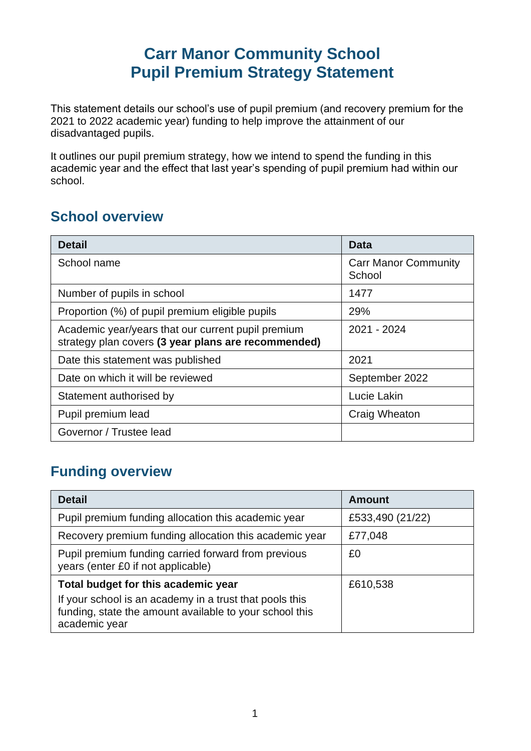### **Carr Manor Community School Pupil Premium Strategy Statement**

This statement details our school's use of pupil premium (and recovery premium for the 2021 to 2022 academic year) funding to help improve the attainment of our disadvantaged pupils.

It outlines our pupil premium strategy, how we intend to spend the funding in this academic year and the effect that last year's spending of pupil premium had within our school.

#### **School overview**

| <b>Detail</b>                                                                                             | <b>Data</b>                           |
|-----------------------------------------------------------------------------------------------------------|---------------------------------------|
| School name                                                                                               | <b>Carr Manor Community</b><br>School |
| Number of pupils in school                                                                                | 1477                                  |
| Proportion (%) of pupil premium eligible pupils                                                           | 29%                                   |
| Academic year/years that our current pupil premium<br>strategy plan covers (3 year plans are recommended) | 2021 - 2024                           |
| Date this statement was published                                                                         | 2021                                  |
| Date on which it will be reviewed                                                                         | September 2022                        |
| Statement authorised by                                                                                   | Lucie Lakin                           |
| Pupil premium lead                                                                                        | Craig Wheaton                         |
| Governor / Trustee lead                                                                                   |                                       |

#### **Funding overview**

| <b>Detail</b>                                                                                                                       | <b>Amount</b>    |
|-------------------------------------------------------------------------------------------------------------------------------------|------------------|
| Pupil premium funding allocation this academic year                                                                                 | £533,490 (21/22) |
| Recovery premium funding allocation this academic year                                                                              | £77,048          |
| Pupil premium funding carried forward from previous<br>years (enter £0 if not applicable)                                           | £0               |
| Total budget for this academic year                                                                                                 | £610,538         |
| If your school is an academy in a trust that pools this<br>funding, state the amount available to your school this<br>academic year |                  |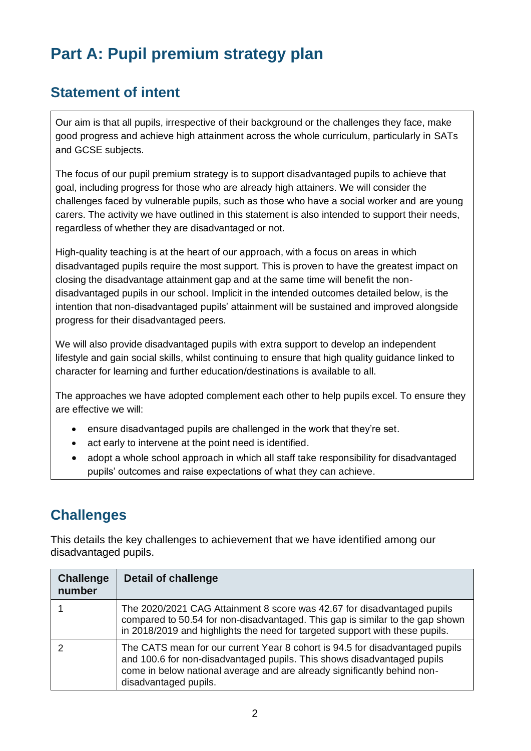# **Part A: Pupil premium strategy plan**

#### **Statement of intent**

Our aim is that all pupils, irrespective of their background or the challenges they face, make good progress and achieve high attainment across the whole curriculum, particularly in SATs and GCSE subjects.

The focus of our pupil premium strategy is to support disadvantaged pupils to achieve that goal, including progress for those who are already high attainers. We will consider the challenges faced by vulnerable pupils, such as those who have a social worker and are young carers. The activity we have outlined in this statement is also intended to support their needs, regardless of whether they are disadvantaged or not.

High-quality teaching is at the heart of our approach, with a focus on areas in which disadvantaged pupils require the most support. This is proven to have the greatest impact on closing the disadvantage attainment gap and at the same time will benefit the nondisadvantaged pupils in our school. Implicit in the intended outcomes detailed below, is the intention that non-disadvantaged pupils' attainment will be sustained and improved alongside progress for their disadvantaged peers.

We will also provide disadvantaged pupils with extra support to develop an independent lifestyle and gain social skills, whilst continuing to ensure that high quality guidance linked to character for learning and further education/destinations is available to all.

The approaches we have adopted complement each other to help pupils excel. To ensure they are effective we will:

- ensure disadvantaged pupils are challenged in the work that they're set.
- act early to intervene at the point need is identified.
- adopt a whole school approach in which all staff take responsibility for disadvantaged pupils' outcomes and raise expectations of what they can achieve.

#### **Challenges**

This details the key challenges to achievement that we have identified among our disadvantaged pupils.

| <b>Challenge</b><br>number | <b>Detail of challenge</b>                                                                                                                                                                                                                                   |
|----------------------------|--------------------------------------------------------------------------------------------------------------------------------------------------------------------------------------------------------------------------------------------------------------|
|                            | The 2020/2021 CAG Attainment 8 score was 42.67 for disadvantaged pupils<br>compared to 50.54 for non-disadvantaged. This gap is similar to the gap shown<br>in 2018/2019 and highlights the need for targeted support with these pupils.                     |
|                            | The CATS mean for our current Year 8 cohort is 94.5 for disadvantaged pupils<br>and 100.6 for non-disadvantaged pupils. This shows disadvantaged pupils<br>come in below national average and are already significantly behind non-<br>disadvantaged pupils. |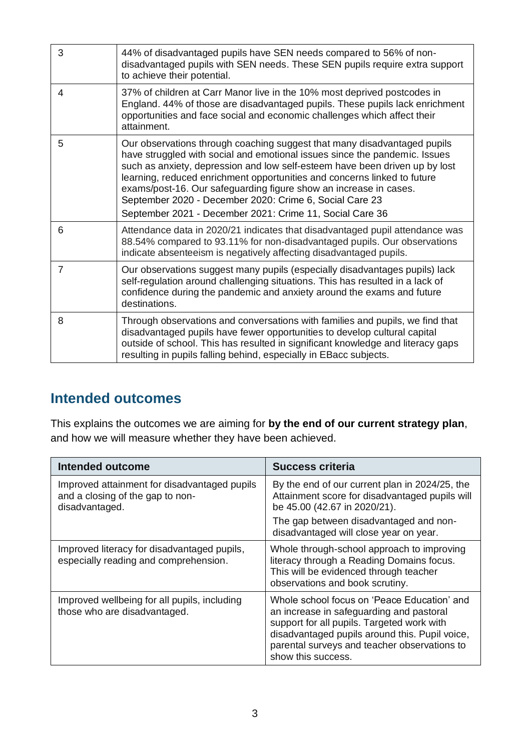| 3              | 44% of disadvantaged pupils have SEN needs compared to 56% of non-<br>disadvantaged pupils with SEN needs. These SEN pupils require extra support<br>to achieve their potential.                                                                                                                                                                                                                                                                                                                              |
|----------------|---------------------------------------------------------------------------------------------------------------------------------------------------------------------------------------------------------------------------------------------------------------------------------------------------------------------------------------------------------------------------------------------------------------------------------------------------------------------------------------------------------------|
| 4              | 37% of children at Carr Manor live in the 10% most deprived postcodes in<br>England. 44% of those are disadvantaged pupils. These pupils lack enrichment<br>opportunities and face social and economic challenges which affect their<br>attainment.                                                                                                                                                                                                                                                           |
| 5              | Our observations through coaching suggest that many disadvantaged pupils<br>have struggled with social and emotional issues since the pandemic. Issues<br>such as anxiety, depression and low self-esteem have been driven up by lost<br>learning, reduced enrichment opportunities and concerns linked to future<br>exams/post-16. Our safeguarding figure show an increase in cases.<br>September 2020 - December 2020: Crime 6, Social Care 23<br>September 2021 - December 2021: Crime 11, Social Care 36 |
| 6              | Attendance data in 2020/21 indicates that disadvantaged pupil attendance was<br>88.54% compared to 93.11% for non-disadvantaged pupils. Our observations<br>indicate absenteeism is negatively affecting disadvantaged pupils.                                                                                                                                                                                                                                                                                |
| $\overline{7}$ | Our observations suggest many pupils (especially disadvantages pupils) lack<br>self-regulation around challenging situations. This has resulted in a lack of<br>confidence during the pandemic and anxiety around the exams and future<br>destinations.                                                                                                                                                                                                                                                       |
| 8              | Through observations and conversations with families and pupils, we find that<br>disadvantaged pupils have fewer opportunities to develop cultural capital<br>outside of school. This has resulted in significant knowledge and literacy gaps<br>resulting in pupils falling behind, especially in EBacc subjects.                                                                                                                                                                                            |

### **Intended outcomes**

This explains the outcomes we are aiming for **by the end of our current strategy plan**, and how we will measure whether they have been achieved.

| Intended outcome                                                                                   | Success criteria                                                                                                                                                                                                                                              |
|----------------------------------------------------------------------------------------------------|---------------------------------------------------------------------------------------------------------------------------------------------------------------------------------------------------------------------------------------------------------------|
| Improved attainment for disadvantaged pupils<br>and a closing of the gap to non-<br>disadvantaged. | By the end of our current plan in 2024/25, the<br>Attainment score for disadvantaged pupils will<br>be 45.00 (42.67 in 2020/21).                                                                                                                              |
|                                                                                                    | The gap between disadvantaged and non-<br>disadvantaged will close year on year.                                                                                                                                                                              |
| Improved literacy for disadvantaged pupils,<br>especially reading and comprehension.               | Whole through-school approach to improving<br>literacy through a Reading Domains focus.<br>This will be evidenced through teacher<br>observations and book scrutiny.                                                                                          |
| Improved wellbeing for all pupils, including<br>those who are disadvantaged.                       | Whole school focus on 'Peace Education' and<br>an increase in safeguarding and pastoral<br>support for all pupils. Targeted work with<br>disadvantaged pupils around this. Pupil voice,<br>parental surveys and teacher observations to<br>show this success. |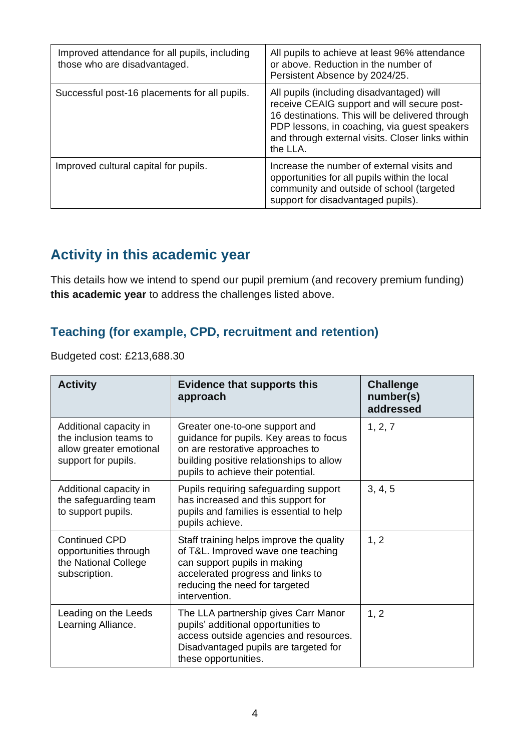| Improved attendance for all pupils, including<br>those who are disadvantaged. | All pupils to achieve at least 96% attendance<br>or above. Reduction in the number of<br>Persistent Absence by 2024/25.                                                                                                                                     |
|-------------------------------------------------------------------------------|-------------------------------------------------------------------------------------------------------------------------------------------------------------------------------------------------------------------------------------------------------------|
| Successful post-16 placements for all pupils.                                 | All pupils (including disadvantaged) will<br>receive CEAIG support and will secure post-<br>16 destinations. This will be delivered through<br>PDP lessons, in coaching, via guest speakers<br>and through external visits. Closer links within<br>the LLA. |
| Improved cultural capital for pupils.                                         | Increase the number of external visits and<br>opportunities for all pupils within the local<br>community and outside of school (targeted<br>support for disadvantaged pupils).                                                                              |

### **Activity in this academic year**

This details how we intend to spend our pupil premium (and recovery premium funding) **this academic year** to address the challenges listed above.

### **Teaching (for example, CPD, recruitment and retention)**

Budgeted cost: £213,688.30

| <b>Activity</b>                                                                                    | <b>Evidence that supports this</b><br>approach                                                                                                                                                         | <b>Challenge</b><br>number(s)<br>addressed |
|----------------------------------------------------------------------------------------------------|--------------------------------------------------------------------------------------------------------------------------------------------------------------------------------------------------------|--------------------------------------------|
| Additional capacity in<br>the inclusion teams to<br>allow greater emotional<br>support for pupils. | Greater one-to-one support and<br>guidance for pupils. Key areas to focus<br>on are restorative approaches to<br>building positive relationships to allow<br>pupils to achieve their potential.        | 1, 2, 7                                    |
| Additional capacity in<br>the safeguarding team<br>to support pupils.                              | Pupils requiring safeguarding support<br>has increased and this support for<br>pupils and families is essential to help<br>pupils achieve.                                                             | 3, 4, 5                                    |
| <b>Continued CPD</b><br>opportunities through<br>the National College<br>subscription.             | Staff training helps improve the quality<br>of T&L. Improved wave one teaching<br>can support pupils in making<br>accelerated progress and links to<br>reducing the need for targeted<br>intervention. | 1, 2                                       |
| Leading on the Leeds<br>Learning Alliance.                                                         | The LLA partnership gives Carr Manor<br>pupils' additional opportunities to<br>access outside agencies and resources.<br>Disadvantaged pupils are targeted for<br>these opportunities.                 | 1, 2                                       |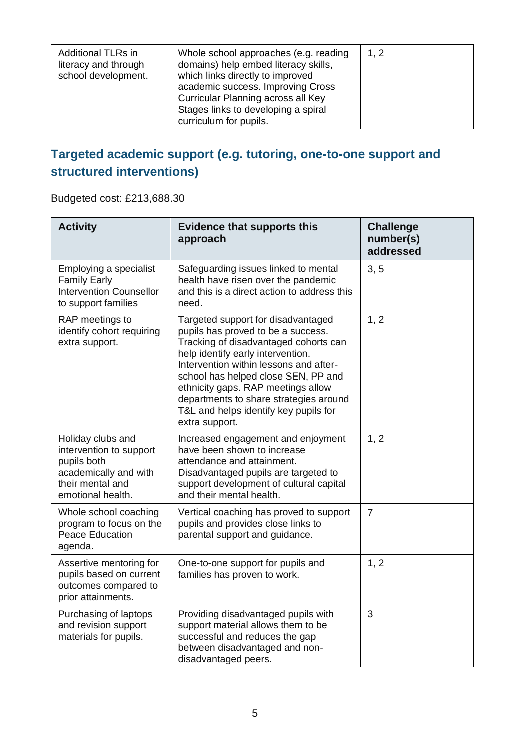| <b>Additional TLRs in</b><br>literacy and through<br>school development. | Whole school approaches (e.g. reading<br>domains) help embed literacy skills,<br>which links directly to improved<br>academic success. Improving Cross<br>Curricular Planning across all Key<br>Stages links to developing a spiral<br>curriculum for pupils. | 1, 2 |
|--------------------------------------------------------------------------|---------------------------------------------------------------------------------------------------------------------------------------------------------------------------------------------------------------------------------------------------------------|------|
|--------------------------------------------------------------------------|---------------------------------------------------------------------------------------------------------------------------------------------------------------------------------------------------------------------------------------------------------------|------|

#### **Targeted academic support (e.g. tutoring, one-to-one support and structured interventions)**

Budgeted cost: £213,688.30

| <b>Activity</b>                                                                                                               | <b>Evidence that supports this</b><br>approach                                                                                                                                                                                                                                                                                                                                     | <b>Challenge</b><br>number(s)<br>addressed |
|-------------------------------------------------------------------------------------------------------------------------------|------------------------------------------------------------------------------------------------------------------------------------------------------------------------------------------------------------------------------------------------------------------------------------------------------------------------------------------------------------------------------------|--------------------------------------------|
| Employing a specialist<br><b>Family Early</b><br><b>Intervention Counsellor</b><br>to support families                        | Safeguarding issues linked to mental<br>health have risen over the pandemic<br>and this is a direct action to address this<br>need.                                                                                                                                                                                                                                                | 3, 5                                       |
| RAP meetings to<br>identify cohort requiring<br>extra support.                                                                | Targeted support for disadvantaged<br>pupils has proved to be a success.<br>Tracking of disadvantaged cohorts can<br>help identify early intervention.<br>Intervention within lessons and after-<br>school has helped close SEN, PP and<br>ethnicity gaps. RAP meetings allow<br>departments to share strategies around<br>T&L and helps identify key pupils for<br>extra support. | 1, 2                                       |
| Holiday clubs and<br>intervention to support<br>pupils both<br>academically and with<br>their mental and<br>emotional health. | Increased engagement and enjoyment<br>have been shown to increase<br>attendance and attainment.<br>Disadvantaged pupils are targeted to<br>support development of cultural capital<br>and their mental health.                                                                                                                                                                     | 1, 2                                       |
| Whole school coaching<br>program to focus on the<br><b>Peace Education</b><br>agenda.                                         | Vertical coaching has proved to support<br>pupils and provides close links to<br>parental support and guidance.                                                                                                                                                                                                                                                                    | $\overline{7}$                             |
| Assertive mentoring for<br>pupils based on current<br>outcomes compared to<br>prior attainments.                              | One-to-one support for pupils and<br>families has proven to work.                                                                                                                                                                                                                                                                                                                  | 1, 2                                       |
| Purchasing of laptops<br>and revision support<br>materials for pupils.                                                        | Providing disadvantaged pupils with<br>support material allows them to be<br>successful and reduces the gap<br>between disadvantaged and non-<br>disadvantaged peers.                                                                                                                                                                                                              | 3                                          |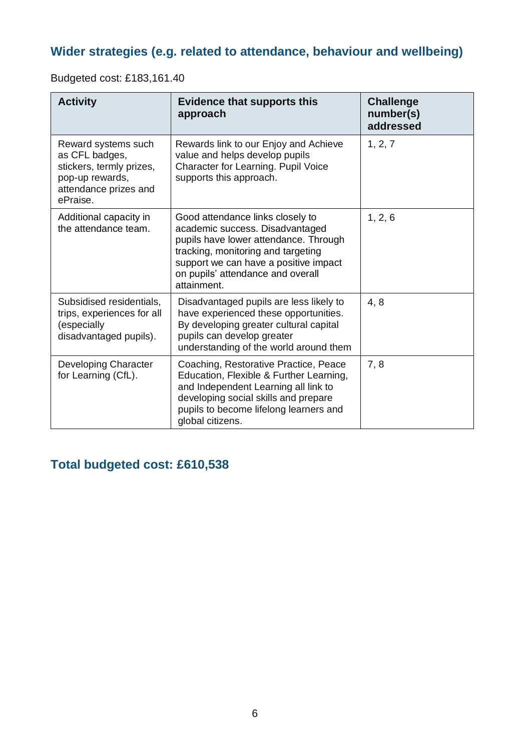#### **Wider strategies (e.g. related to attendance, behaviour and wellbeing)**

Budgeted cost: £183,161.40

| <b>Activity</b>                                                                                                           | <b>Evidence that supports this</b><br>approach                                                                                                                                                                                                  | <b>Challenge</b><br>number(s)<br>addressed |
|---------------------------------------------------------------------------------------------------------------------------|-------------------------------------------------------------------------------------------------------------------------------------------------------------------------------------------------------------------------------------------------|--------------------------------------------|
| Reward systems such<br>as CFL badges,<br>stickers, termly prizes,<br>pop-up rewards,<br>attendance prizes and<br>ePraise. | Rewards link to our Enjoy and Achieve<br>value and helps develop pupils<br>Character for Learning. Pupil Voice<br>supports this approach.                                                                                                       | 1, 2, 7                                    |
| Additional capacity in<br>the attendance team.                                                                            | Good attendance links closely to<br>academic success. Disadvantaged<br>pupils have lower attendance. Through<br>tracking, monitoring and targeting<br>support we can have a positive impact<br>on pupils' attendance and overall<br>attainment. | 1, 2, 6                                    |
| Subsidised residentials,<br>trips, experiences for all<br>(especially<br>disadvantaged pupils).                           | Disadvantaged pupils are less likely to<br>have experienced these opportunities.<br>By developing greater cultural capital<br>pupils can develop greater<br>understanding of the world around them                                              | 4,8                                        |
| <b>Developing Character</b><br>for Learning (CfL).                                                                        | Coaching, Restorative Practice, Peace<br>Education, Flexible & Further Learning,<br>and Independent Learning all link to<br>developing social skills and prepare<br>pupils to become lifelong learners and<br>global citizens.                  | 7, 8                                       |

#### **Total budgeted cost: £610,538**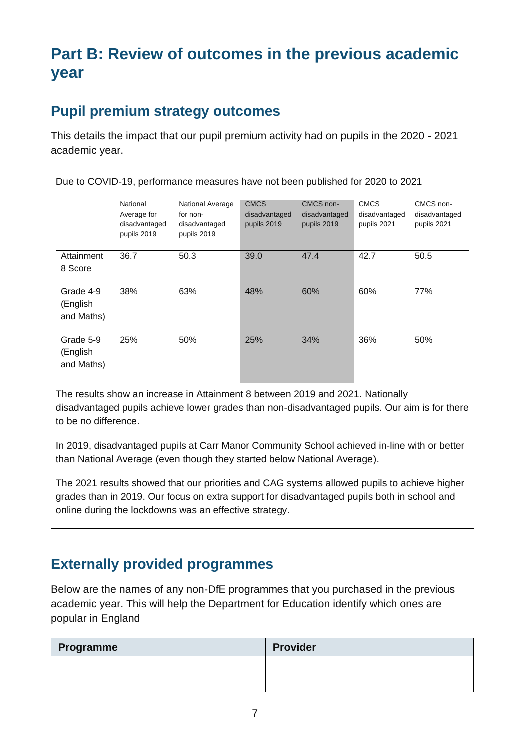# **Part B: Review of outcomes in the previous academic year**

#### **Pupil premium strategy outcomes**

This details the impact that our pupil premium activity had on pupils in the 2020 - 2021 academic year.

|                                     | National<br>Average for<br>disadvantaged<br>pupils 2019 | National Average<br>for non-<br>disadvantaged<br>pupils 2019 | <b>CMCS</b><br>disadvantaged<br>pupils 2019 | CMCS non-<br>disadvantaged<br>pupils 2019 | <b>CMCS</b><br>disadvantaged<br>pupils 2021 | CMCS non-<br>disadvantaged<br>pupils 2021 |
|-------------------------------------|---------------------------------------------------------|--------------------------------------------------------------|---------------------------------------------|-------------------------------------------|---------------------------------------------|-------------------------------------------|
| Attainment<br>8 Score               | 36.7                                                    | 50.3                                                         | 39.0                                        | 47.4                                      | 42.7                                        | 50.5                                      |
| Grade 4-9<br>(English<br>and Maths) | 38%                                                     | 63%                                                          | 48%                                         | 60%                                       | 60%                                         | 77%                                       |
| Grade 5-9<br>(English<br>and Maths) | 25%                                                     | 50%                                                          | 25%                                         | 34%                                       | 36%                                         | 50%                                       |

The results show an increase in Attainment 8 between 2019 and 2021. Nationally disadvantaged pupils achieve lower grades than non-disadvantaged pupils. Our aim is for there to be no difference.

In 2019, disadvantaged pupils at Carr Manor Community School achieved in-line with or better than National Average (even though they started below National Average).

The 2021 results showed that our priorities and CAG systems allowed pupils to achieve higher grades than in 2019. Our focus on extra support for disadvantaged pupils both in school and online during the lockdowns was an effective strategy.

#### **Externally provided programmes**

Below are the names of any non-DfE programmes that you purchased in the previous academic year. This will help the Department for Education identify which ones are popular in England

| Programme | <b>Provider</b> |
|-----------|-----------------|
|           |                 |
|           |                 |